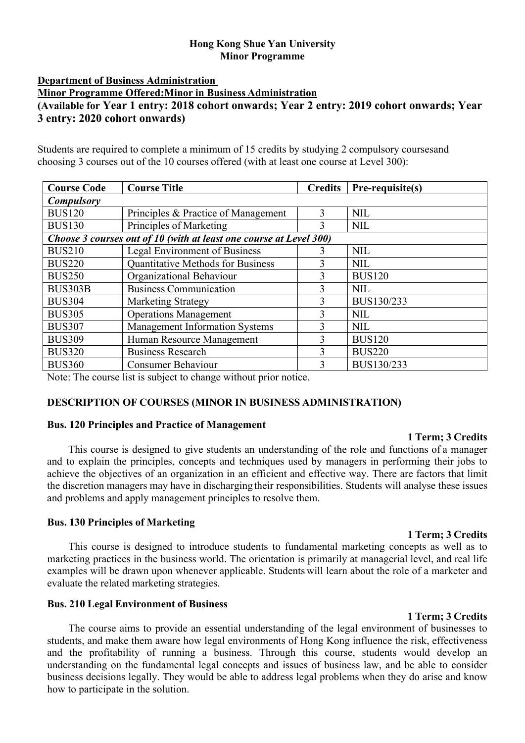## **Hong Kong Shue Yan University Minor Programme**

## **Department of Business Administration**

## **Minor Programme Offered:Minor in Business Administration**

# **(Available for Year 1 entry: 2018 cohort onwards; Year 2 entry: 2019 cohort onwards; Year 3 entry: 2020 cohort onwards)**

Students are required to complete a minimum of 15 credits by studying 2 compulsory coursesand choosing 3 courses out of the 10 courses offered (with at least one course at Level 300):

| <b>Course Code</b>                                                 | <b>Course Title</b>                   | <b>Credits</b> | Pre-requisite(s) |
|--------------------------------------------------------------------|---------------------------------------|----------------|------------------|
| Compulsory                                                         |                                       |                |                  |
| <b>BUS120</b>                                                      | Principles & Practice of Management   | 3              | <b>NIL</b>       |
| <b>BUS130</b>                                                      | Principles of Marketing               | 3              | <b>NIL</b>       |
| Choose 3 courses out of 10 (with at least one course at Level 300) |                                       |                |                  |
| <b>BUS210</b>                                                      | Legal Environment of Business         | 3              | <b>NIL</b>       |
| <b>BUS220</b>                                                      | Quantitative Methods for Business     |                | <b>NIL</b>       |
| <b>BUS250</b>                                                      | Organizational Behaviour              | 3              | <b>BUS120</b>    |
| BUS303B                                                            | <b>Business Communication</b>         | 3              | <b>NIL</b>       |
| <b>BUS304</b>                                                      | <b>Marketing Strategy</b>             | 3              | BUS130/233       |
| <b>BUS305</b>                                                      | <b>Operations Management</b>          | 3              | <b>NIL</b>       |
| <b>BUS307</b>                                                      | <b>Management Information Systems</b> | 3              | <b>NIL</b>       |
| <b>BUS309</b>                                                      | Human Resource Management             | 3              | <b>BUS120</b>    |
| <b>BUS320</b>                                                      | <b>Business Research</b>              | 3              | <b>BUS220</b>    |
| <b>BUS360</b>                                                      | <b>Consumer Behaviour</b>             | 3              | BUS130/233       |

Note: The course list is subject to change without prior notice.

## **DESCRIPTION OF COURSES (MINOR IN BUSINESS ADMINISTRATION)**

## **Bus. 120 Principles and Practice of Management**

## **1 Term; 3 Credits** This course is designed to give students an understanding of the role and functions of a manager and to explain the principles, concepts and techniques used by managers in performing their jobs to achieve the objectives of an organization in an efficient and effective way. There are factors that limit the discretion managers may have in discharging their responsibilities. Students will analyse these issues and problems and apply management principles to resolve them.

## **Bus. 130 Principles of Marketing**

This course is designed to introduce students to fundamental marketing concepts as well as to marketing practices in the business world. The orientation is primarily at managerial level, and real life examples will be drawn upon whenever applicable. Students will learn about the role of a marketer and evaluate the related marketing strategies.

## **Bus. 210 Legal Environment of Business**

# The course aims to provide an essential understanding of the legal environment of businesses to students, and make them aware how legal environments of Hong Kong influence the risk, effectiveness and the profitability of running a business. Through this course, students would develop an understanding on the fundamental legal concepts and issues of business law, and be able to consider business decisions legally. They would be able to address legal problems when they do arise and know how to participate in the solution.

## **1 Term; 3 Credits**

## **1 Term; 3 Credits**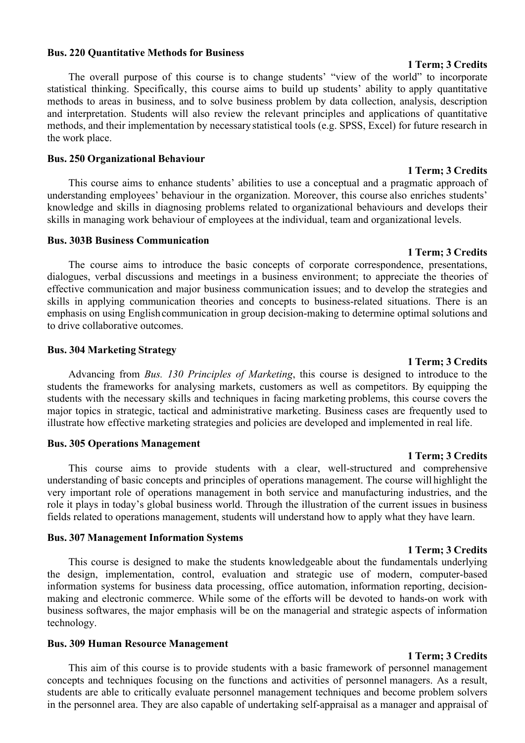#### **Bus. 220 Quantitative Methods for Business**

The overall purpose of this course is to change students' "view of the world" to incorporate statistical thinking. Specifically, this course aims to build up students' ability to apply quantitative methods to areas in business, and to solve business problem by data collection, analysis, description and interpretation. Students will also review the relevant principles and applications of quantitative methods, and their implementation by necessarystatistical tools (e.g. SPSS, Excel) for future research in the work place.

#### **Bus. 250 Organizational Behaviour**

This course aims to enhance students' abilities to use a conceptual and a pragmatic approach of understanding employees' behaviour in the organization. Moreover, this course also enriches students' knowledge and skills in diagnosing problems related to organizational behaviours and develops their skills in managing work behaviour of employees at the individual, team and organizational levels.

#### **Bus. 303B Business Communication**

**1 Term; 3 Credits** The course aims to introduce the basic concepts of corporate correspondence, presentations, dialogues, verbal discussions and meetings in a business environment; to appreciate the theories of effective communication and major business communication issues; and to develop the strategies and skills in applying communication theories and concepts to business-related situations. There is an emphasis on using English communication in group decision-making to determine optimal solutions and to drive collaborative outcomes.

#### **Bus. 304 Marketing Strategy**

Advancing from *Bus. 130 Principles of Marketing*, this course is designed to introduce to the students the frameworks for analysing markets, customers as well as competitors. By equipping the students with the necessary skills and techniques in facing marketing problems, this course covers the major topics in strategic, tactical and administrative marketing. Business cases are frequently used to illustrate how effective marketing strategies and policies are developed and implemented in real life.

#### **Bus. 305 Operations Management**

This course aims to provide students with a clear, well-structured and comprehensive understanding of basic concepts and principles of operations management. The course will highlight the very important role of operations management in both service and manufacturing industries, and the role it plays in today's global business world. Through the illustration of the current issues in business fields related to operations management, students will understand how to apply what they have learn.

#### **Bus. 307 Management Information Systems**

This course is designed to make the students knowledgeable about the fundamentals underlying the design, implementation, control, evaluation and strategic use of modern, computer-based information systems for business data processing, office automation, information reporting, decisionmaking and electronic commerce. While some of the efforts will be devoted to hands-on work with business softwares, the major emphasis will be on the managerial and strategic aspects of information technology.

#### **Bus. 309 Human Resource Management**

This aim of this course is to provide students with a basic framework of personnel management concepts and techniques focusing on the functions and activities of personnel managers. As a result, students are able to critically evaluate personnel management techniques and become problem solvers in the personnel area. They are also capable of undertaking self-appraisal as a manager and appraisal of

# **1 Term; 3 Credits**

# **1 Term; 3 Credits**

## **1 Term; 3 Credits**

**1 Term; 3 Credits**

**1 Term; 3 Credits**

## **1 Term; 3 Credits**